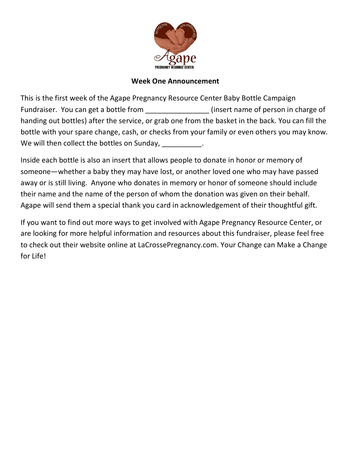

## **Week One Announcement**

This is the first week of the Agape Pregnancy Resource Center Baby Bottle Campaign Fundraiser. You can get a bottle from \_\_\_\_\_\_\_\_\_\_\_\_\_\_\_\_(insert name of person in charge of handing out bottles) after the service, or grab one from the basket in the back. You can fill the bottle with your spare change, cash, or checks from your family or even others you may know. We will then collect the bottles on Sunday,  $\blacksquare$ 

Inside each bottle is also an insert that allows people to donate in honor or memory of someone—whether a baby they may have lost, or another loved one who may have passed away or is still living. Anyone who donates in memory or honor of someone should include their name and the name of the person of whom the donation was given on their behalf. Agape will send them a special thank you card in acknowledgement of their thoughtful gift.

If you want to find out more ways to get involved with Agape Pregnancy Resource Center, or are looking for more helpful information and resources about this fundraiser, please feel free to check out their website online at LaCrossePregnancy.com. Your Change can Make a Change for Life!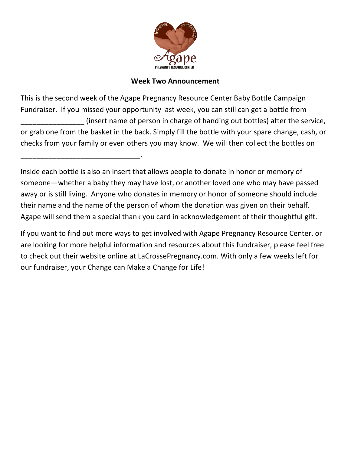

## **Week Two Announcement**

This is the second week of the Agape Pregnancy Resource Center Baby Bottle Campaign Fundraiser. If you missed your opportunity last week, you can still can get a bottle from \_\_\_\_\_\_\_\_\_\_\_\_\_\_\_\_ (insert name of person in charge of handing out bottles) after the service, or grab one from the basket in the back. Simply fill the bottle with your spare change, cash, or checks from your family or even others you may know. We will then collect the bottles on

Inside each bottle is also an insert that allows people to donate in honor or memory of someone—whether a baby they may have lost, or another loved one who may have passed away or is still living. Anyone who donates in memory or honor of someone should include their name and the name of the person of whom the donation was given on their behalf. Agape will send them a special thank you card in acknowledgement of their thoughtful gift.

\_\_\_\_\_\_\_\_\_\_\_\_\_\_\_\_\_\_\_\_\_\_\_\_\_\_\_\_\_\_.

If you want to find out more ways to get involved with Agape Pregnancy Resource Center, or are looking for more helpful information and resources about this fundraiser, please feel free to check out their website online at LaCrossePregnancy.com. With only a few weeks left for our fundraiser, your Change can Make a Change for Life!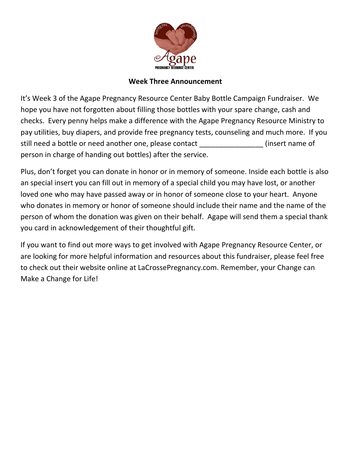

## **Week Three Announcement**

It's Week 3 of the Agape Pregnancy Resource Center Baby Bottle Campaign Fundraiser. We hope you have not forgotten about filling those bottles with your spare change, cash and checks. Every penny helps make a difference with the Agape Pregnancy Resource Ministry to pay utilities, buy diapers, and provide free pregnancy tests, counseling and much more. If you still need a bottle or need another one, please contact \_\_\_\_\_\_\_\_\_\_\_\_\_\_\_\_(insert name of person in charge of handing out bottles) after the service.

Plus, don't forget you can donate in honor or in memory of someone. Inside each bottle is also an special insert you can fill out in memory of a special child you may have lost, or another loved one who may have passed away or in honor of someone close to your heart. Anyone who donates in memory or honor of someone should include their name and the name of the person of whom the donation was given on their behalf. Agape will send them a special thank you card in acknowledgement of their thoughtful gift.

If you want to find out more ways to get involved with Agape Pregnancy Resource Center, or are looking for more helpful information and resources about this fundraiser, please feel free to check out their website online at LaCrossePregnancy.com. Remember, your Change can Make a Change for Life!